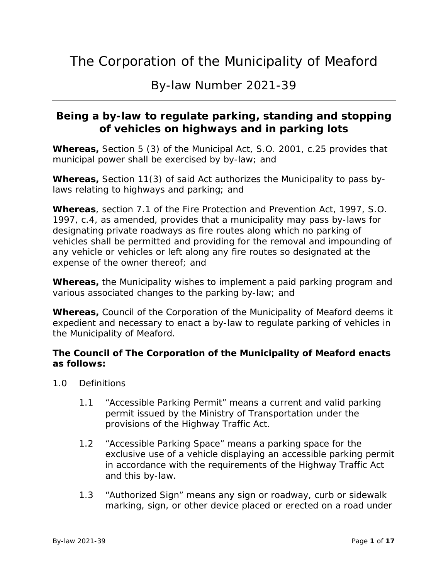By-law Number 2021-39

#### **Being a by-law to regulate parking, standing and stopping of vehicles on highways and in parking lots**

**Whereas,** Section 5 (3) of the Municipal Act, S.O. 2001, c.25 provides that municipal power shall be exercised by by-law; and

**Whereas,** Section 11(3) of said Act authorizes the Municipality to pass bylaws relating to highways and parking; and

**Whereas**, section 7.1 of the Fire Protection and Prevention Act, 1997, S.O. 1997, c.4, as amended, provides that a municipality may pass by-laws for designating private roadways as fire routes along which no parking of vehicles shall be permitted and providing for the removal and impounding of any vehicle or vehicles or left along any fire routes so designated at the expense of the owner thereof; and

**Whereas,** the Municipality wishes to implement a paid parking program and various associated changes to the parking by-law; and

**Whereas,** Council of the Corporation of the Municipality of Meaford deems it expedient and necessary to enact a by-law to regulate parking of vehicles in the Municipality of Meaford.

#### **The Council of The Corporation of the Municipality of Meaford enacts as follows:**

- 1.0 Definitions
	- 1.1 "Accessible Parking Permit" means a current and valid parking permit issued by the Ministry of Transportation under the provisions of the Highway Traffic Act.
	- 1.2 "Accessible Parking Space" means a parking space for the exclusive use of a vehicle displaying an accessible parking permit in accordance with the requirements of the Highway Traffic Act and this by-law.
	- 1.3 "Authorized Sign" means any sign or roadway, curb or sidewalk marking, sign, or other device placed or erected on a road under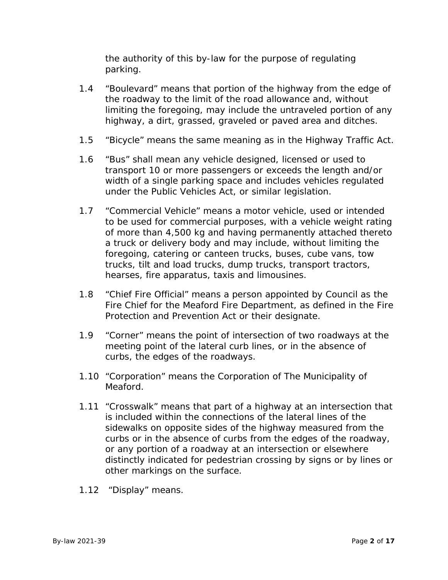the authority of this by-law for the purpose of regulating parking.

- 1.4 "Boulevard" means that portion of the highway from the edge of the roadway to the limit of the road allowance and, without limiting the foregoing, may include the untraveled portion of any highway, a dirt, grassed, graveled or paved area and ditches.
- 1.5 "Bicycle" means the same meaning as in the Highway Traffic Act.
- 1.6 "Bus" shall mean any vehicle designed, licensed or used to transport 10 or more passengers or exceeds the length and/or width of a single parking space and includes vehicles regulated under the Public Vehicles Act, or similar legislation.
- 1.7 "Commercial Vehicle" means a motor vehicle, used or intended to be used for commercial purposes, with a vehicle weight rating of more than 4,500 kg and having permanently attached thereto a truck or delivery body and may include, without limiting the foregoing, catering or canteen trucks, buses, cube vans, tow trucks, tilt and load trucks, dump trucks, transport tractors, hearses, fire apparatus, taxis and limousines.
- 1.8 "Chief Fire Official" means a person appointed by Council as the Fire Chief for the Meaford Fire Department, as defined in the Fire Protection and Prevention Act or their designate.
- 1.9 "Corner" means the point of intersection of two roadways at the meeting point of the lateral curb lines, or in the absence of curbs, the edges of the roadways.
- 1.10 "Corporation" means the Corporation of The Municipality of Meaford.
- 1.11 "Crosswalk" means that part of a highway at an intersection that is included within the connections of the lateral lines of the sidewalks on opposite sides of the highway measured from the curbs or in the absence of curbs from the edges of the roadway, or any portion of a roadway at an intersection or elsewhere distinctly indicated for pedestrian crossing by signs or by lines or other markings on the surface.
- 1.12 "Display" means.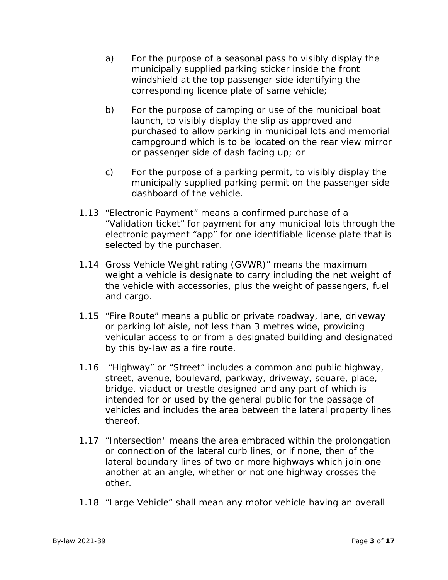- a) For the purpose of a seasonal pass to visibly display the municipally supplied parking sticker inside the front windshield at the top passenger side identifying the corresponding licence plate of same vehicle;
- b) For the purpose of camping or use of the municipal boat launch, to visibly display the slip as approved and purchased to allow parking in municipal lots and memorial campground which is to be located on the rear view mirror or passenger side of dash facing up; or
- c) For the purpose of a parking permit, to visibly display the municipally supplied parking permit on the passenger side dashboard of the vehicle.
- 1.13 "Electronic Payment" means a confirmed purchase of a "Validation ticket" for payment for any municipal lots through the electronic payment "app" for one identifiable license plate that is selected by the purchaser.
- 1.14 Gross Vehicle Weight rating (GVWR)" means the maximum weight a vehicle is designate to carry including the net weight of the vehicle with accessories, plus the weight of passengers, fuel and cargo.
- 1.15 "Fire Route" means a public or private roadway, lane, driveway or parking lot aisle, not less than 3 metres wide, providing vehicular access to or from a designated building and designated by this by-law as a fire route.
- 1.16 "Highway" or "Street" includes a common and public highway, street, avenue, boulevard, parkway, driveway, square, place, bridge, viaduct or trestle designed and any part of which is intended for or used by the general public for the passage of vehicles and includes the area between the lateral property lines thereof.
- 1.17 "Intersection" means the area embraced within the prolongation or connection of the lateral curb lines, or if none, then of the lateral boundary lines of two or more highways which join one another at an angle, whether or not one highway crosses the other.
- 1.18 "Large Vehicle" shall mean any motor vehicle having an overall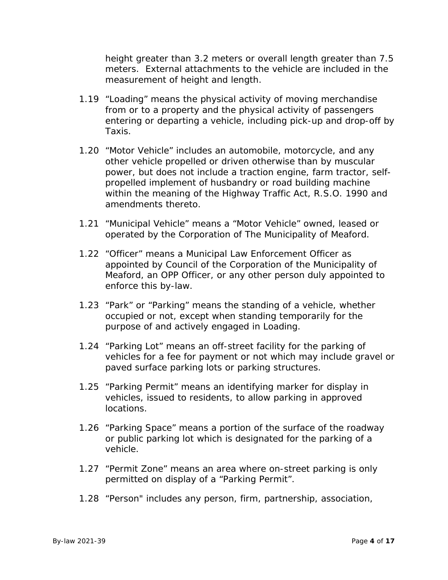height greater than 3.2 meters or overall length greater than 7.5 meters. External attachments to the vehicle are included in the measurement of height and length.

- 1.19 "Loading" means the physical activity of moving merchandise from or to a property and the physical activity of passengers entering or departing a vehicle, including pick-up and drop-off by Taxis.
- 1.20 "Motor Vehicle" includes an automobile, motorcycle, and any other vehicle propelled or driven otherwise than by muscular power, but does not include a traction engine, farm tractor, selfpropelled implement of husbandry or road building machine within the meaning of the Highway Traffic Act, R.S.O. 1990 and amendments thereto.
- 1.21 "Municipal Vehicle" means a "Motor Vehicle" owned, leased or operated by the Corporation of The Municipality of Meaford.
- 1.22 "Officer" means a Municipal Law Enforcement Officer as appointed by Council of the Corporation of the Municipality of Meaford, an OPP Officer, or any other person duly appointed to enforce this by-law.
- 1.23 "Park" or "Parking" means the standing of a vehicle, whether occupied or not, except when standing temporarily for the purpose of and actively engaged in Loading.
- 1.24 "Parking Lot" means an off-street facility for the parking of vehicles for a fee for payment or not which may include gravel or paved surface parking lots or parking structures.
- 1.25 "Parking Permit" means an identifying marker for display in vehicles, issued to residents, to allow parking in approved locations.
- 1.26 "Parking Space" means a portion of the surface of the roadway or public parking lot which is designated for the parking of a vehicle.
- 1.27 "Permit Zone" means an area where on-street parking is only permitted on display of a "Parking Permit".
- 1.28 "Person" includes any person, firm, partnership, association,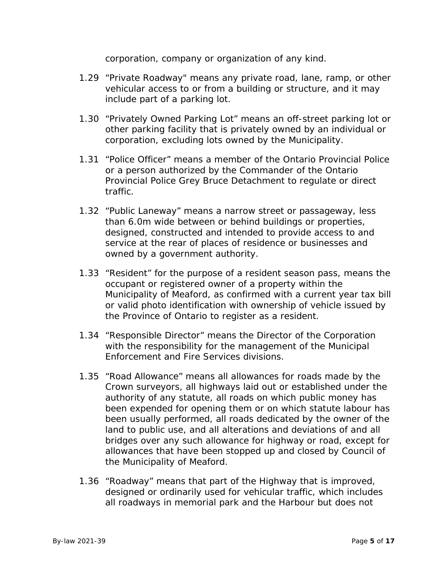corporation, company or organization of any kind.

- 1.29 "Private Roadway" means any private road, lane, ramp, or other vehicular access to or from a building or structure, and it may include part of a parking lot.
- 1.30 "Privately Owned Parking Lot" means an off-street parking lot or other parking facility that is privately owned by an individual or corporation, excluding lots owned by the Municipality.
- 1.31 "Police Officer" means a member of the Ontario Provincial Police or a person authorized by the Commander of the Ontario Provincial Police Grey Bruce Detachment to regulate or direct traffic.
- 1.32 "Public Laneway" means a narrow street or passageway, less than 6.0m wide between or behind buildings or properties, designed, constructed and intended to provide access to and service at the rear of places of residence or businesses and owned by a government authority.
- 1.33 "Resident" for the purpose of a resident season pass, means the occupant or registered owner of a property within the Municipality of Meaford, as confirmed with a current year tax bill or valid photo identification with ownership of vehicle issued by the Province of Ontario to register as a resident.
- 1.34 "Responsible Director" means the Director of the Corporation with the responsibility for the management of the Municipal Enforcement and Fire Services divisions.
- 1.35 "Road Allowance" means all allowances for roads made by the Crown surveyors, all highways laid out or established under the authority of any statute, all roads on which public money has been expended for opening them or on which statute labour has been usually performed, all roads dedicated by the owner of the land to public use, and all alterations and deviations of and all bridges over any such allowance for highway or road, except for allowances that have been stopped up and closed by Council of the Municipality of Meaford.
- 1.36 "Roadway" means that part of the Highway that is improved, designed or ordinarily used for vehicular traffic, which includes all roadways in memorial park and the Harbour but does not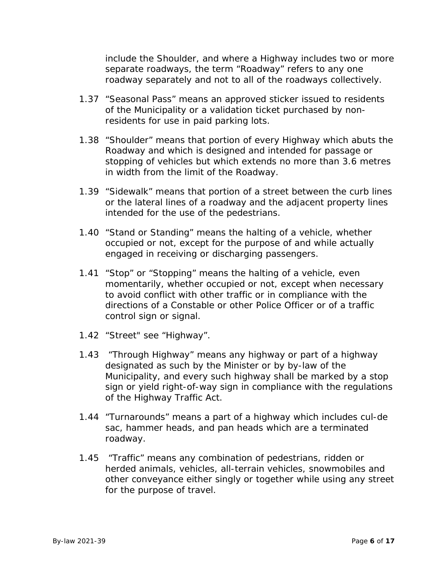include the Shoulder, and where a Highway includes two or more separate roadways, the term "Roadway" refers to any one roadway separately and not to all of the roadways collectively.

- 1.37 "Seasonal Pass" means an approved sticker issued to residents of the Municipality or a validation ticket purchased by nonresidents for use in paid parking lots.
- 1.38 "Shoulder" means that portion of every Highway which abuts the Roadway and which is designed and intended for passage or stopping of vehicles but which extends no more than 3.6 metres in width from the limit of the Roadway.
- 1.39 "Sidewalk" means that portion of a street between the curb lines or the lateral lines of a roadway and the adjacent property lines intended for the use of the pedestrians.
- 1.40 "Stand or Standing" means the halting of a vehicle, whether occupied or not, except for the purpose of and while actually engaged in receiving or discharging passengers.
- 1.41 "Stop" or "Stopping" means the halting of a vehicle, even momentarily, whether occupied or not, except when necessary to avoid conflict with other traffic or in compliance with the directions of a Constable or other Police Officer or of a traffic control sign or signal.
- 1.42 "Street" see "Highway".
- 1.43 "Through Highway" means any highway or part of a highway designated as such by the Minister or by by-law of the Municipality, and every such highway shall be marked by a stop sign or yield right-of-way sign in compliance with the regulations of the Highway Traffic Act.
- 1.44 "Turnarounds" means a part of a highway which includes cul-de sac, hammer heads, and pan heads which are a terminated roadway.
- 1.45 "Traffic" means any combination of pedestrians, ridden or herded animals, vehicles, all-terrain vehicles, snowmobiles and other conveyance either singly or together while using any street for the purpose of travel.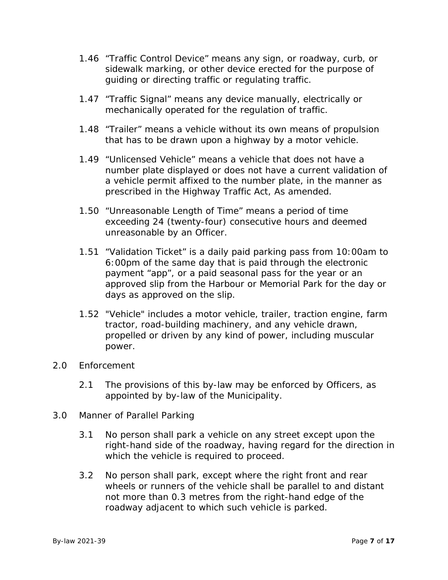- 1.46 "Traffic Control Device" means any sign, or roadway, curb, or sidewalk marking, or other device erected for the purpose of guiding or directing traffic or regulating traffic.
- 1.47 "Traffic Signal" means any device manually, electrically or mechanically operated for the regulation of traffic.
- 1.48 "Trailer" means a vehicle without its own means of propulsion that has to be drawn upon a highway by a motor vehicle.
- 1.49 "Unlicensed Vehicle" means a vehicle that does not have a number plate displayed or does not have a current validation of a vehicle permit affixed to the number plate, in the manner as prescribed in the Highway Traffic Act, As amended.
- 1.50 "Unreasonable Length of Time" means a period of time exceeding 24 (twenty-four) consecutive hours and deemed unreasonable by an Officer.
- 1.51 "Validation Ticket" is a daily paid parking pass from 10:00am to 6:00pm of the same day that is paid through the electronic payment "app", or a paid seasonal pass for the year or an approved slip from the Harbour or Memorial Park for the day or days as approved on the slip.
- 1.52 "Vehicle" includes a motor vehicle, trailer, traction engine, farm tractor, road-building machinery, and any vehicle drawn, propelled or driven by any kind of power, including muscular power.
- 2.0 Enforcement
	- 2.1 The provisions of this by-law may be enforced by Officers, as appointed by by-law of the Municipality.
- 3.0 Manner of Parallel Parking
	- 3.1 No person shall park a vehicle on any street except upon the right-hand side of the roadway, having regard for the direction in which the vehicle is required to proceed.
	- 3.2 No person shall park, except where the right front and rear wheels or runners of the vehicle shall be parallel to and distant not more than 0.3 metres from the right-hand edge of the roadway adjacent to which such vehicle is parked.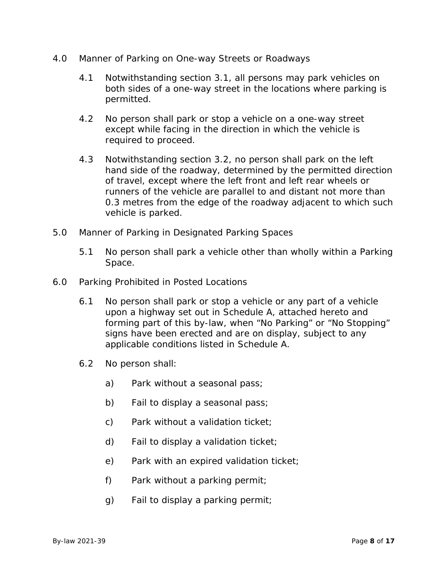- 4.0 Manner of Parking on One-way Streets or Roadways
	- 4.1 Notwithstanding section 3.1, all persons may park vehicles on both sides of a one-way street in the locations where parking is permitted.
	- 4.2 No person shall park or stop a vehicle on a one-way street except while facing in the direction in which the vehicle is required to proceed.
	- 4.3 Notwithstanding section 3.2, no person shall park on the left hand side of the roadway, determined by the permitted direction of travel, except where the left front and left rear wheels or runners of the vehicle are parallel to and distant not more than 0.3 metres from the edge of the roadway adjacent to which such vehicle is parked.
- 5.0 Manner of Parking in Designated Parking Spaces
	- 5.1 No person shall park a vehicle other than wholly within a Parking Space.
- 6.0 Parking Prohibited in Posted Locations
	- 6.1 No person shall park or stop a vehicle or any part of a vehicle upon a highway set out in Schedule A, attached hereto and forming part of this by-law, when "No Parking" or "No Stopping" signs have been erected and are on display, subject to any applicable conditions listed in Schedule A.
	- 6.2 No person shall:
		- a) Park without a seasonal pass;
		- b) Fail to display a seasonal pass;
		- c) Park without a validation ticket;
		- d) Fail to display a validation ticket;
		- e) Park with an expired validation ticket;
		- f) Park without a parking permit;
		- g) Fail to display a parking permit;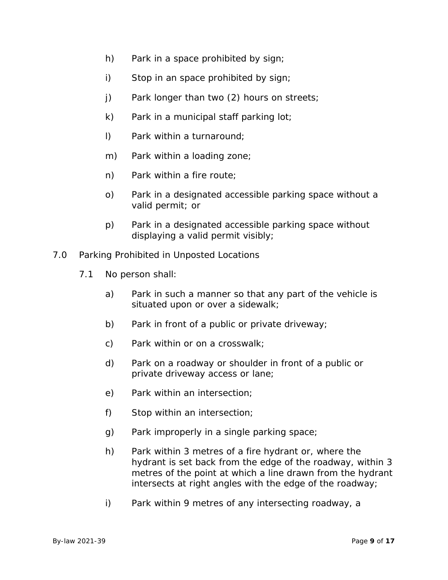- h) Park in a space prohibited by sign;
- i) Stop in an space prohibited by sign;
- j) Park longer than two (2) hours on streets;
- k) Park in a municipal staff parking  $\text{lot}$ ;
- l) Park within a turnaround;
- m) Park within a loading zone;
- n) Park within a fire route;
- o) Park in a designated accessible parking space without a valid permit; or
- p) Park in a designated accessible parking space without displaying a valid permit visibly;
- 7.0 Parking Prohibited in Unposted Locations
	- 7.1 No person shall:
		- a) Park in such a manner so that any part of the vehicle is situated upon or over a sidewalk;
		- b) Park in front of a public or private driveway;
		- c) Park within or on a crosswalk;
		- d) Park on a roadway or shoulder in front of a public or private driveway access or lane;
		- e) Park within an intersection;
		- f) Stop within an intersection;
		- g) Park improperly in a single parking space;
		- h) Park within 3 metres of a fire hydrant or, where the hydrant is set back from the edge of the roadway, within 3 metres of the point at which a line drawn from the hydrant intersects at right angles with the edge of the roadway;
		- i) Park within 9 metres of any intersecting roadway, a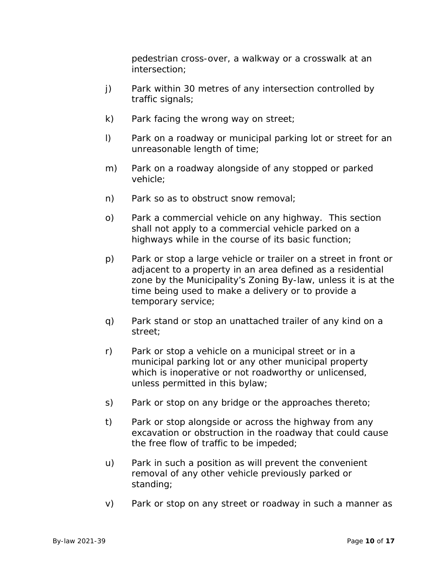pedestrian cross-over, a walkway or a crosswalk at an intersection;

- j) Park within 30 metres of any intersection controlled by traffic signals;
- k) Park facing the wrong way on street;
- l) Park on a roadway or municipal parking lot or street for an unreasonable length of time;
- m) Park on a roadway alongside of any stopped or parked vehicle;
- n) Park so as to obstruct snow removal;
- o) Park a commercial vehicle on any highway. This section shall not apply to a commercial vehicle parked on a highways while in the course of its basic function;
- p) Park or stop a large vehicle or trailer on a street in front or adjacent to a property in an area defined as a residential zone by the Municipality's Zoning By-law, unless it is at the time being used to make a delivery or to provide a temporary service;
- q) Park stand or stop an unattached trailer of any kind on a street;
- r) Park or stop a vehicle on a municipal street or in a municipal parking lot or any other municipal property which is inoperative or not roadworthy or unlicensed, unless permitted in this bylaw;
- s) Park or stop on any bridge or the approaches thereto;
- t) Park or stop alongside or across the highway from any excavation or obstruction in the roadway that could cause the free flow of traffic to be impeded;
- u) Park in such a position as will prevent the convenient removal of any other vehicle previously parked or standing;
- v) Park or stop on any street or roadway in such a manner as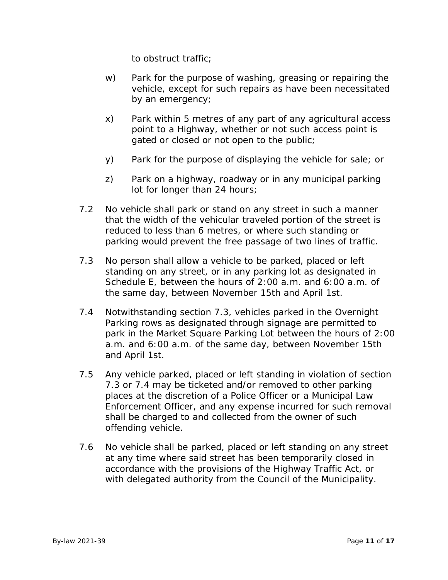to obstruct traffic;

- w) Park for the purpose of washing, greasing or repairing the vehicle, except for such repairs as have been necessitated by an emergency;
- x) Park within 5 metres of any part of any agricultural access point to a Highway, whether or not such access point is gated or closed or not open to the public;
- y) Park for the purpose of displaying the vehicle for sale; or
- z) Park on a highway, roadway or in any municipal parking lot for longer than 24 hours;
- 7.2 No vehicle shall park or stand on any street in such a manner that the width of the vehicular traveled portion of the street is reduced to less than 6 metres, or where such standing or parking would prevent the free passage of two lines of traffic.
- 7.3 No person shall allow a vehicle to be parked, placed or left standing on any street, or in any parking lot as designated in Schedule E, between the hours of 2:00 a.m. and 6:00 a.m. of the same day, between November 15th and April 1st.
- 7.4 Notwithstanding section 7.3, vehicles parked in the Overnight Parking rows as designated through signage are permitted to park in the Market Square Parking Lot between the hours of 2:00 a.m. and 6:00 a.m. of the same day, between November 15th and April 1st.
- 7.5 Any vehicle parked, placed or left standing in violation of section 7.3 or 7.4 may be ticketed and/or removed to other parking places at the discretion of a Police Officer or a Municipal Law Enforcement Officer, and any expense incurred for such removal shall be charged to and collected from the owner of such offending vehicle.
- 7.6 No vehicle shall be parked, placed or left standing on any street at any time where said street has been temporarily closed in accordance with the provisions of the Highway Traffic Act, or with delegated authority from the Council of the Municipality.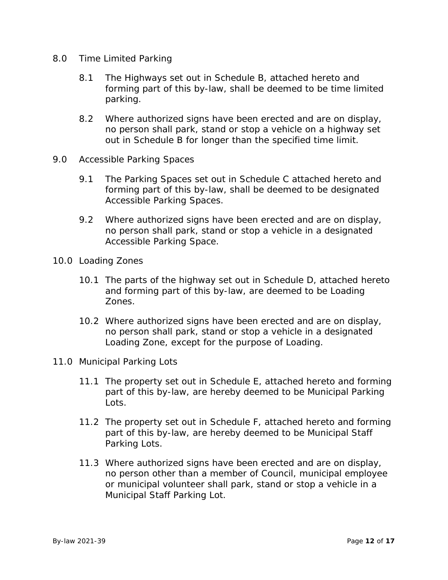- 8.0 Time Limited Parking
	- 8.1 The Highways set out in Schedule B, attached hereto and forming part of this by-law, shall be deemed to be time limited parking.
	- 8.2 Where authorized signs have been erected and are on display, no person shall park, stand or stop a vehicle on a highway set out in Schedule B for longer than the specified time limit.
- 9.0 Accessible Parking Spaces
	- 9.1 The Parking Spaces set out in Schedule C attached hereto and forming part of this by-law, shall be deemed to be designated Accessible Parking Spaces.
	- 9.2 Where authorized signs have been erected and are on display, no person shall park, stand or stop a vehicle in a designated Accessible Parking Space.
- 10.0 Loading Zones
	- 10.1 The parts of the highway set out in Schedule D, attached hereto and forming part of this by-law, are deemed to be Loading Zones.
	- 10.2 Where authorized signs have been erected and are on display, no person shall park, stand or stop a vehicle in a designated Loading Zone, except for the purpose of Loading.
- 11.0 Municipal Parking Lots
	- 11.1 The property set out in Schedule E, attached hereto and forming part of this by-law, are hereby deemed to be Municipal Parking Lots.
	- 11.2 The property set out in Schedule F, attached hereto and forming part of this by-law, are hereby deemed to be Municipal Staff Parking Lots.
	- 11.3 Where authorized signs have been erected and are on display, no person other than a member of Council, municipal employee or municipal volunteer shall park, stand or stop a vehicle in a Municipal Staff Parking Lot.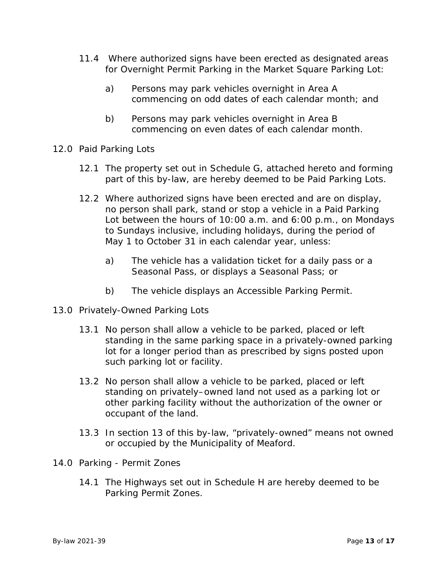- 11.4 Where authorized signs have been erected as designated areas for Overnight Permit Parking in the Market Square Parking Lot:
	- a) Persons may park vehicles overnight in Area A commencing on odd dates of each calendar month; and
	- b) Persons may park vehicles overnight in Area B commencing on even dates of each calendar month.
- 12.0 Paid Parking Lots
	- 12.1 The property set out in Schedule G, attached hereto and forming part of this by-law, are hereby deemed to be Paid Parking Lots.
	- 12.2 Where authorized signs have been erected and are on display, no person shall park, stand or stop a vehicle in a Paid Parking Lot between the hours of 10:00 a.m. and 6:00 p.m., on Mondays to Sundays inclusive, including holidays, during the period of May 1 to October 31 in each calendar year, unless:
		- a) The vehicle has a validation ticket for a daily pass or a Seasonal Pass, or displays a Seasonal Pass; or
		- b) The vehicle displays an Accessible Parking Permit.
- 13.0 Privately-Owned Parking Lots
	- 13.1 No person shall allow a vehicle to be parked, placed or left standing in the same parking space in a privately-owned parking lot for a longer period than as prescribed by signs posted upon such parking lot or facility.
	- 13.2 No person shall allow a vehicle to be parked, placed or left standing on privately–owned land not used as a parking lot or other parking facility without the authorization of the owner or occupant of the land.
	- 13.3 In section 13 of this by-law, "privately-owned" means not owned or occupied by the Municipality of Meaford.
- 14.0 Parking Permit Zones
	- 14.1 The Highways set out in Schedule H are hereby deemed to be Parking Permit Zones.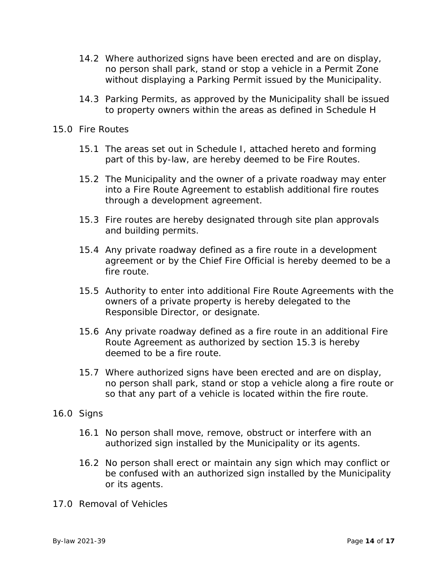- 14.2 Where authorized signs have been erected and are on display, no person shall park, stand or stop a vehicle in a Permit Zone without displaying a Parking Permit issued by the Municipality.
- 14.3 Parking Permits, as approved by the Municipality shall be issued to property owners within the areas as defined in Schedule H
- 15.0 Fire Routes
	- 15.1 The areas set out in Schedule I, attached hereto and forming part of this by-law, are hereby deemed to be Fire Routes.
	- 15.2 The Municipality and the owner of a private roadway may enter into a Fire Route Agreement to establish additional fire routes through a development agreement.
	- 15.3 Fire routes are hereby designated through site plan approvals and building permits.
	- 15.4 Any private roadway defined as a fire route in a development agreement or by the Chief Fire Official is hereby deemed to be a fire route.
	- 15.5 Authority to enter into additional Fire Route Agreements with the owners of a private property is hereby delegated to the Responsible Director, or designate.
	- 15.6 Any private roadway defined as a fire route in an additional Fire Route Agreement as authorized by section 15.3 is hereby deemed to be a fire route.
	- 15.7 Where authorized signs have been erected and are on display, no person shall park, stand or stop a vehicle along a fire route or so that any part of a vehicle is located within the fire route.
- 16.0 Signs
	- 16.1 No person shall move, remove, obstruct or interfere with an authorized sign installed by the Municipality or its agents.
	- 16.2 No person shall erect or maintain any sign which may conflict or be confused with an authorized sign installed by the Municipality or its agents.
- 17.0 Removal of Vehicles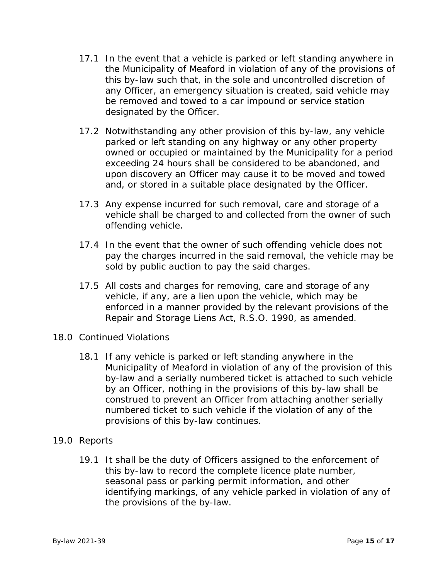- 17.1 In the event that a vehicle is parked or left standing anywhere in the Municipality of Meaford in violation of any of the provisions of this by-law such that, in the sole and uncontrolled discretion of any Officer, an emergency situation is created, said vehicle may be removed and towed to a car impound or service station designated by the Officer.
- 17.2 Notwithstanding any other provision of this by-law, any vehicle parked or left standing on any highway or any other property owned or occupied or maintained by the Municipality for a period exceeding 24 hours shall be considered to be abandoned, and upon discovery an Officer may cause it to be moved and towed and, or stored in a suitable place designated by the Officer.
- 17.3 Any expense incurred for such removal, care and storage of a vehicle shall be charged to and collected from the owner of such offending vehicle.
- 17.4 In the event that the owner of such offending vehicle does not pay the charges incurred in the said removal, the vehicle may be sold by public auction to pay the said charges.
- 17.5 All costs and charges for removing, care and storage of any vehicle, if any, are a lien upon the vehicle, which may be enforced in a manner provided by the relevant provisions of the Repair and Storage Liens Act, R.S.O. 1990, as amended.
- 18.0 Continued Violations
	- 18.1 If any vehicle is parked or left standing anywhere in the Municipality of Meaford in violation of any of the provision of this by-law and a serially numbered ticket is attached to such vehicle by an Officer, nothing in the provisions of this by-law shall be construed to prevent an Officer from attaching another serially numbered ticket to such vehicle if the violation of any of the provisions of this by-law continues.
- 19.0 Reports
	- 19.1 It shall be the duty of Officers assigned to the enforcement of this by-law to record the complete licence plate number, seasonal pass or parking permit information, and other identifying markings, of any vehicle parked in violation of any of the provisions of the by-law.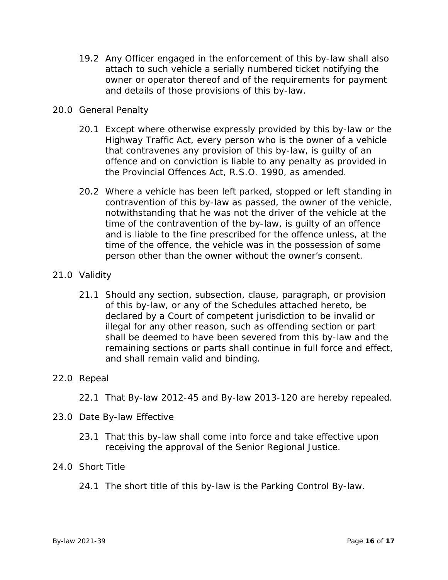19.2 Any Officer engaged in the enforcement of this by-law shall also attach to such vehicle a serially numbered ticket notifying the owner or operator thereof and of the requirements for payment and details of those provisions of this by-law.

#### 20.0 General Penalty

- 20.1 Except where otherwise expressly provided by this by-law or the Highway Traffic Act, every person who is the owner of a vehicle that contravenes any provision of this by-law, is guilty of an offence and on conviction is liable to any penalty as provided in the Provincial Offences Act, R.S.O. 1990, as amended.
- 20.2 Where a vehicle has been left parked, stopped or left standing in contravention of this by-law as passed, the owner of the vehicle, notwithstanding that he was not the driver of the vehicle at the time of the contravention of the by-law, is guilty of an offence and is liable to the fine prescribed for the offence unless, at the time of the offence, the vehicle was in the possession of some person other than the owner without the owner's consent.

#### 21.0 Validity

21.1 Should any section, subsection, clause, paragraph, or provision of this by-law, or any of the Schedules attached hereto, be declared by a Court of competent jurisdiction to be invalid or illegal for any other reason, such as offending section or part shall be deemed to have been severed from this by-law and the remaining sections or parts shall continue in full force and effect, and shall remain valid and binding.

#### 22.0 Repeal

22.1 That By-law 2012-45 and By-law 2013-120 are hereby repealed.

#### 23.0 Date By-law Effective

23.1 That this by-law shall come into force and take effective upon receiving the approval of the Senior Regional Justice.

#### 24.0 Short Title

24.1 The short title of this by-law is the Parking Control By-law.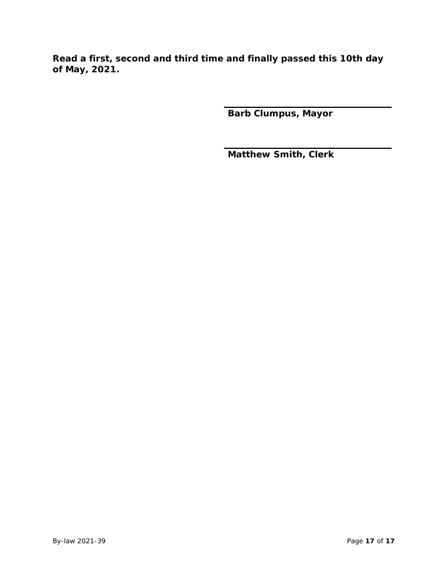**Read a first, second and third time and finally passed this 10th day of May, 2021.**

**Barb Clumpus, Mayor**

**Matthew Smith, Clerk**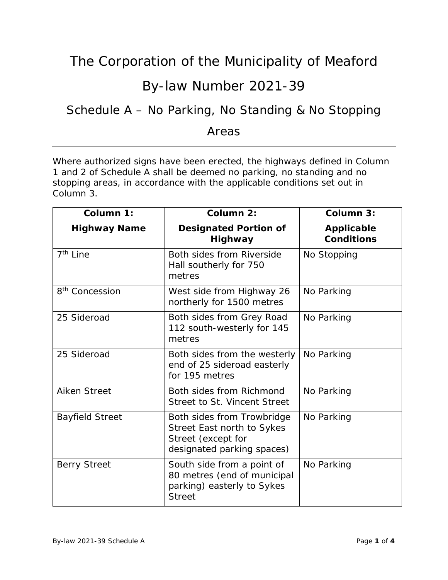### By-law Number 2021-39

### Schedule A – No Parking, No Standing & No Stopping

#### Areas

Where authorized signs have been erected, the highways defined in Column 1 and 2 of Schedule A shall be deemed no parking, no standing and no stopping areas, in accordance with the applicable conditions set out in Column 3.

| Column 1:                  | Column 2:                                                                                                    | Column 3:                              |
|----------------------------|--------------------------------------------------------------------------------------------------------------|----------------------------------------|
| <b>Highway Name</b>        | <b>Designated Portion of</b><br><b>Highway</b>                                                               | <b>Applicable</b><br><b>Conditions</b> |
| 7 <sup>th</sup> Line       | Both sides from Riverside<br>Hall southerly for 750<br>metres                                                | No Stopping                            |
| 8 <sup>th</sup> Concession | West side from Highway 26<br>northerly for 1500 metres                                                       | No Parking                             |
| 25 Sideroad                | Both sides from Grey Road<br>112 south-westerly for 145<br>metres                                            | No Parking                             |
| 25 Sideroad                | Both sides from the westerly<br>end of 25 sideroad easterly<br>for 195 metres                                | No Parking                             |
| <b>Aiken Street</b>        | Both sides from Richmond<br>Street to St. Vincent Street                                                     | No Parking                             |
| <b>Bayfield Street</b>     | Both sides from Trowbridge<br>Street East north to Sykes<br>Street (except for<br>designated parking spaces) | No Parking                             |
| <b>Berry Street</b>        | South side from a point of<br>80 metres (end of municipal<br>parking) easterly to Sykes<br><b>Street</b>     | No Parking                             |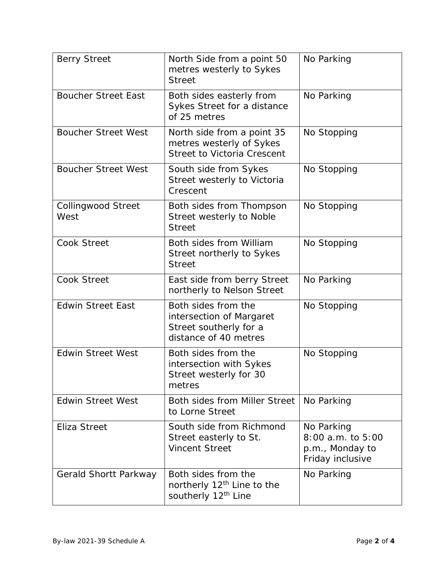| <b>Berry Street</b>               | North Side from a point 50<br>metres westerly to Sykes<br><b>Street</b>                            | No Parking                                                             |
|-----------------------------------|----------------------------------------------------------------------------------------------------|------------------------------------------------------------------------|
| <b>Boucher Street East</b>        | Both sides easterly from<br>Sykes Street for a distance<br>of 25 metres                            | No Parking                                                             |
| <b>Boucher Street West</b>        | North side from a point 35<br>metres westerly of Sykes<br><b>Street to Victoria Crescent</b>       | No Stopping                                                            |
| <b>Boucher Street West</b>        | South side from Sykes<br>Street westerly to Victoria<br>Crescent                                   | No Stopping                                                            |
| <b>Collingwood Street</b><br>West | Both sides from Thompson<br>Street westerly to Noble<br><b>Street</b>                              | No Stopping                                                            |
| <b>Cook Street</b>                | Both sides from William<br>Street northerly to Sykes<br><b>Street</b>                              | No Stopping                                                            |
| <b>Cook Street</b>                | East side from berry Street<br>northerly to Nelson Street                                          | No Parking                                                             |
| <b>Edwin Street East</b>          | Both sides from the<br>intersection of Margaret<br>Street southerly for a<br>distance of 40 metres | No Stopping                                                            |
| <b>Edwin Street West</b>          | Both sides from the<br>intersection with Sykes<br>Street westerly for 30<br>metres                 | No Stopping                                                            |
| <b>Edwin Street West</b>          | Both sides from Miller Street<br>to Lorne Street                                                   | No Parking                                                             |
| Eliza Street                      | South side from Richmond<br>Street easterly to St.<br><b>Vincent Street</b>                        | No Parking<br>8:00 a.m. to 5:00<br>p.m., Monday to<br>Friday inclusive |
| Gerald Shortt Parkway             | Both sides from the<br>northerly 12 <sup>th</sup> Line to the<br>southerly 12 <sup>th</sup> Line   | No Parking                                                             |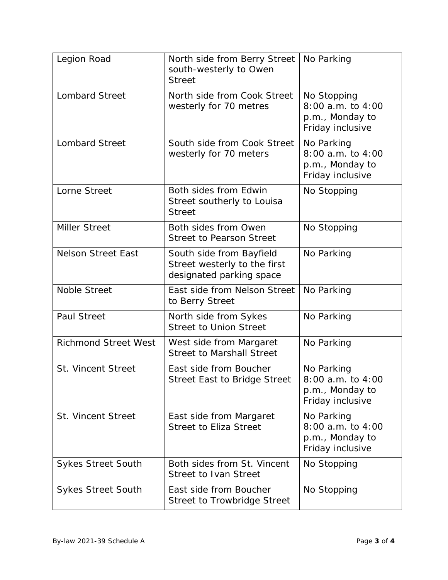| Legion Road                 | North side from Berry Street<br>south-westerly to Owen<br><b>Street</b>              | No Parking                                                              |
|-----------------------------|--------------------------------------------------------------------------------------|-------------------------------------------------------------------------|
| <b>Lombard Street</b>       | North side from Cook Street<br>westerly for 70 metres                                | No Stopping<br>8:00 a.m. to 4:00<br>p.m., Monday to<br>Friday inclusive |
| <b>Lombard Street</b>       | South side from Cook Street<br>westerly for 70 meters                                | No Parking<br>8:00 a.m. to 4:00<br>p.m., Monday to<br>Friday inclusive  |
| Lorne Street                | Both sides from Edwin<br>Street southerly to Louisa<br><b>Street</b>                 | No Stopping                                                             |
| <b>Miller Street</b>        | Both sides from Owen<br><b>Street to Pearson Street</b>                              | No Stopping                                                             |
| <b>Nelson Street East</b>   | South side from Bayfield<br>Street westerly to the first<br>designated parking space | No Parking                                                              |
| <b>Noble Street</b>         | East side from Nelson Street<br>to Berry Street                                      | No Parking                                                              |
| <b>Paul Street</b>          | North side from Sykes<br><b>Street to Union Street</b>                               | No Parking                                                              |
| <b>Richmond Street West</b> | West side from Margaret<br><b>Street to Marshall Street</b>                          | No Parking                                                              |
| <b>St. Vincent Street</b>   | East side from Boucher<br><b>Street East to Bridge Street</b>                        | No Parking<br>8:00 a.m. to 4:00<br>p.m., Monday to<br>Friday inclusive  |
| <b>St. Vincent Street</b>   | East side from Margaret<br><b>Street to Eliza Street</b>                             | No Parking<br>8:00 a.m. to 4:00<br>p.m., Monday to<br>Friday inclusive  |
| <b>Sykes Street South</b>   | Both sides from St. Vincent<br><b>Street to Ivan Street</b>                          | No Stopping                                                             |
| <b>Sykes Street South</b>   | East side from Boucher<br>Street to Trowbridge Street                                | No Stopping                                                             |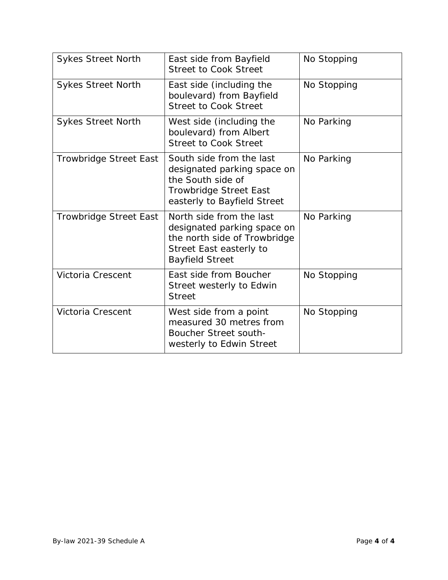| <b>Sykes Street North</b>     | East side from Bayfield<br><b>Street to Cook Street</b>                                                                                      | No Stopping |
|-------------------------------|----------------------------------------------------------------------------------------------------------------------------------------------|-------------|
| <b>Sykes Street North</b>     | East side (including the<br>boulevard) from Bayfield<br><b>Street to Cook Street</b>                                                         | No Stopping |
| <b>Sykes Street North</b>     | West side (including the<br>boulevard) from Albert<br><b>Street to Cook Street</b>                                                           | No Parking  |
| <b>Trowbridge Street East</b> | South side from the last<br>designated parking space on<br>the South side of<br><b>Trowbridge Street East</b><br>easterly to Bayfield Street | No Parking  |
| <b>Trowbridge Street East</b> | North side from the last<br>designated parking space on<br>the north side of Trowbridge<br>Street East easterly to<br><b>Bayfield Street</b> | No Parking  |
| Victoria Crescent             | East side from Boucher<br>Street westerly to Edwin<br><b>Street</b>                                                                          | No Stopping |
| Victoria Crescent             | West side from a point<br>measured 30 metres from<br><b>Boucher Street south-</b><br>westerly to Edwin Street                                | No Stopping |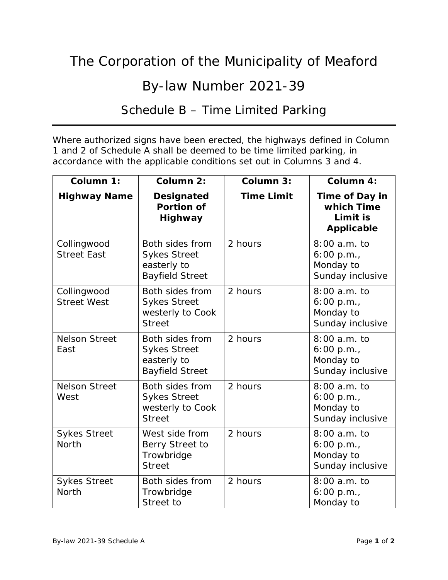## By-law Number 2021-39

### Schedule B – Time Limited Parking

Where authorized signs have been erected, the highways defined in Column 1 and 2 of Schedule A shall be deemed to be time limited parking, in accordance with the applicable conditions set out in Columns 3 and 4.

| Column 1:                           | Column 2:                                                                       | Column 3:         | Column 4:                                                     |
|-------------------------------------|---------------------------------------------------------------------------------|-------------------|---------------------------------------------------------------|
| <b>Highway Name</b>                 | <b>Designated</b><br><b>Portion of</b><br><b>Highway</b>                        | <b>Time Limit</b> | Time of Day in<br>which Time<br>Limit is<br><b>Applicable</b> |
| Collingwood<br><b>Street East</b>   | Both sides from<br><b>Sykes Street</b><br>easterly to<br><b>Bayfield Street</b> | 2 hours           | $8:00a.m.$ to<br>6:00 p.m.<br>Monday to<br>Sunday inclusive   |
| Collingwood<br><b>Street West</b>   | Both sides from<br><b>Sykes Street</b><br>westerly to Cook<br><b>Street</b>     | 2 hours           | 8:00 a.m. to<br>6:00 p.m.<br>Monday to<br>Sunday inclusive    |
| <b>Nelson Street</b><br>East        | Both sides from<br><b>Sykes Street</b><br>easterly to<br><b>Bayfield Street</b> | 2 hours           | 8:00 a.m. to<br>6:00 p.m.<br>Monday to<br>Sunday inclusive    |
| <b>Nelson Street</b><br>West        | Both sides from<br><b>Sykes Street</b><br>westerly to Cook<br><b>Street</b>     | 2 hours           | 8:00 a.m. to<br>6:00 p.m.,<br>Monday to<br>Sunday inclusive   |
| <b>Sykes Street</b><br><b>North</b> | West side from<br>Berry Street to<br>Trowbridge<br><b>Street</b>                | 2 hours           | 8:00 a.m. to<br>6:00 p.m.,<br>Monday to<br>Sunday inclusive   |
| <b>Sykes Street</b><br><b>North</b> | Both sides from<br>Trowbridge<br>Street to                                      | 2 hours           | 8:00 a.m. to<br>6:00 p.m.<br>Monday to                        |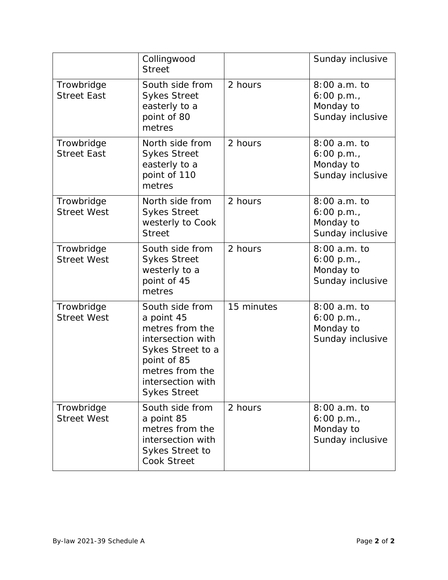|                                  | Collingwood<br><b>Street</b>                                                                                                                                             |            | Sunday inclusive                                                |
|----------------------------------|--------------------------------------------------------------------------------------------------------------------------------------------------------------------------|------------|-----------------------------------------------------------------|
| Trowbridge<br><b>Street East</b> | South side from<br><b>Sykes Street</b><br>easterly to a<br>point of 80<br>metres                                                                                         | 2 hours    | 8:00 a.m. to<br>6:00 p.m.<br>Monday to<br>Sunday inclusive      |
| Trowbridge<br><b>Street East</b> | North side from<br><b>Sykes Street</b><br>easterly to a<br>point of 110<br>metres                                                                                        | 2 hours    | 8:00 a.m. to<br>6:00 p.m.<br>Monday to<br>Sunday inclusive      |
| Trowbridge<br><b>Street West</b> | North side from<br><b>Sykes Street</b><br>westerly to Cook<br><b>Street</b>                                                                                              | 2 hours    | 8:00 a.m. to<br>$6:00$ p.m.,<br>Monday to<br>Sunday inclusive   |
| Trowbridge<br><b>Street West</b> | South side from<br><b>Sykes Street</b><br>westerly to a<br>point of 45<br>metres                                                                                         | 2 hours    | $8:00a.m.$ to<br>6:00 p.m.<br>Monday to<br>Sunday inclusive     |
| Trowbridge<br><b>Street West</b> | South side from<br>a point 45<br>metres from the<br>intersection with<br>Sykes Street to a<br>point of 85<br>metres from the<br>intersection with<br><b>Sykes Street</b> | 15 minutes | $8:00$ a.m. to<br>$6:00$ p.m.,<br>Monday to<br>Sunday inclusive |
| Trowbridge<br><b>Street West</b> | South side from<br>a point 85<br>metres from the<br>intersection with<br><b>Sykes Street to</b><br><b>Cook Street</b>                                                    | 2 hours    | 8:00 a.m. to<br>$6:00$ p.m.,<br>Monday to<br>Sunday inclusive   |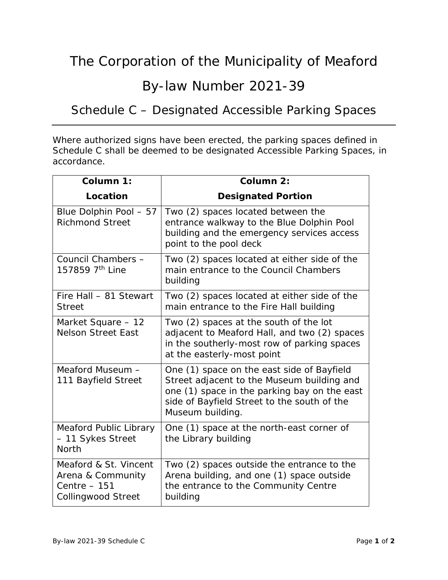### By-law Number 2021-39

## Schedule C – Designated Accessible Parking Spaces

Where authorized signs have been erected, the parking spaces defined in Schedule C shall be deemed to be designated Accessible Parking Spaces, in accordance.

| Column 1:                                                                                | Column 2:                                                                                                                                                                                                   |
|------------------------------------------------------------------------------------------|-------------------------------------------------------------------------------------------------------------------------------------------------------------------------------------------------------------|
| Location                                                                                 | <b>Designated Portion</b>                                                                                                                                                                                   |
| Blue Dolphin Pool - 57<br><b>Richmond Street</b>                                         | Two (2) spaces located between the<br>entrance walkway to the Blue Dolphin Pool<br>building and the emergency services access<br>point to the pool deck                                                     |
| Council Chambers -<br>157859 7th Line                                                    | Two (2) spaces located at either side of the<br>main entrance to the Council Chambers<br>building                                                                                                           |
| Fire Hall - 81 Stewart<br><b>Street</b>                                                  | Two (2) spaces located at either side of the<br>main entrance to the Fire Hall building                                                                                                                     |
| Market Square - 12<br><b>Nelson Street East</b>                                          | Two (2) spaces at the south of the lot<br>adjacent to Meaford Hall, and two (2) spaces<br>in the southerly-most row of parking spaces<br>at the easterly-most point                                         |
| Meaford Museum -<br>111 Bayfield Street                                                  | One (1) space on the east side of Bayfield<br>Street adjacent to the Museum building and<br>one (1) space in the parking bay on the east<br>side of Bayfield Street to the south of the<br>Museum building. |
| Meaford Public Library<br>- 11 Sykes Street<br><b>North</b>                              | One (1) space at the north-east corner of<br>the Library building                                                                                                                                           |
| Meaford & St. Vincent<br>Arena & Community<br>Centre $-151$<br><b>Collingwood Street</b> | Two (2) spaces outside the entrance to the<br>Arena building, and one (1) space outside<br>the entrance to the Community Centre<br>building                                                                 |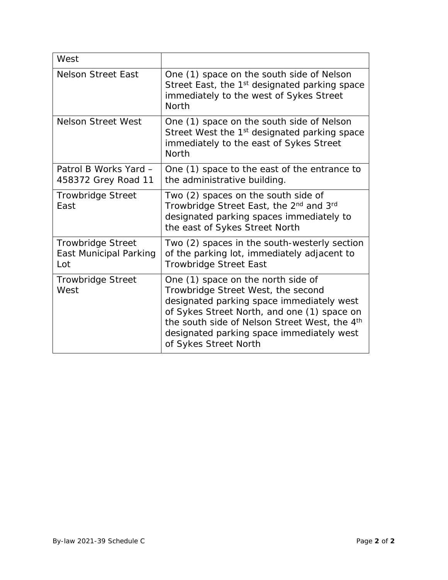| West                                                             |                                                                                                                                                                                                                                                                                             |
|------------------------------------------------------------------|---------------------------------------------------------------------------------------------------------------------------------------------------------------------------------------------------------------------------------------------------------------------------------------------|
| <b>Nelson Street East</b>                                        | One (1) space on the south side of Nelson<br>Street East, the 1 <sup>st</sup> designated parking space<br>immediately to the west of Sykes Street<br><b>North</b>                                                                                                                           |
| <b>Nelson Street West</b>                                        | One (1) space on the south side of Nelson<br>Street West the 1 <sup>st</sup> designated parking space<br>immediately to the east of Sykes Street<br><b>North</b>                                                                                                                            |
| Patrol B Works Yard -<br>458372 Grey Road 11                     | One (1) space to the east of the entrance to<br>the administrative building.                                                                                                                                                                                                                |
| <b>Trowbridge Street</b><br>East                                 | Two (2) spaces on the south side of<br>Trowbridge Street East, the 2 <sup>nd</sup> and 3 <sup>rd</sup><br>designated parking spaces immediately to<br>the east of Sykes Street North                                                                                                        |
| <b>Trowbridge Street</b><br><b>East Municipal Parking</b><br>Lot | Two (2) spaces in the south-westerly section<br>of the parking lot, immediately adjacent to<br><b>Trowbridge Street East</b>                                                                                                                                                                |
| <b>Trowbridge Street</b><br>West                                 | One (1) space on the north side of<br>Trowbridge Street West, the second<br>designated parking space immediately west<br>of Sykes Street North, and one (1) space on<br>the south side of Nelson Street West, the 4th<br>designated parking space immediately west<br>of Sykes Street North |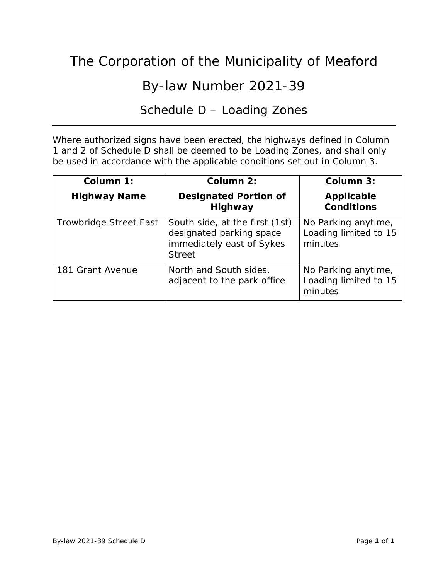### By-law Number 2021-39

### Schedule D – Loading Zones

Where authorized signs have been erected, the highways defined in Column 1 and 2 of Schedule D shall be deemed to be Loading Zones, and shall only be used in accordance with the applicable conditions set out in Column 3.

| Column 1:              | Column 2:                                                                                                | Column 3:                                               |
|------------------------|----------------------------------------------------------------------------------------------------------|---------------------------------------------------------|
| <b>Highway Name</b>    | <b>Designated Portion of</b><br>Highway                                                                  | <b>Applicable</b><br><b>Conditions</b>                  |
| Trowbridge Street East | South side, at the first (1st)<br>designated parking space<br>immediately east of Sykes<br><b>Street</b> | No Parking anytime,<br>Loading limited to 15<br>minutes |
| 181 Grant Avenue       | North and South sides,<br>adjacent to the park office                                                    | No Parking anytime,<br>Loading limited to 15<br>minutes |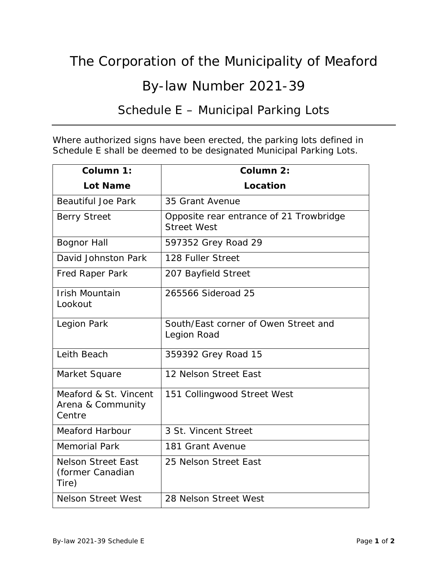## By-law Number 2021-39

### Schedule E – Municipal Parking Lots

Where authorized signs have been erected, the parking lots defined in Schedule E shall be deemed to be designated Municipal Parking Lots.

| Column 1:                                              | Column 2:                                                     |
|--------------------------------------------------------|---------------------------------------------------------------|
| <b>Lot Name</b>                                        | Location                                                      |
| <b>Beautiful Joe Park</b>                              | 35 Grant Avenue                                               |
| <b>Berry Street</b>                                    | Opposite rear entrance of 21 Trowbridge<br><b>Street West</b> |
| <b>Bognor Hall</b>                                     | 597352 Grey Road 29                                           |
| David Johnston Park                                    | 128 Fuller Street                                             |
| <b>Fred Raper Park</b>                                 | 207 Bayfield Street                                           |
| <b>Irish Mountain</b><br>Lookout                       | 265566 Sideroad 25                                            |
| Legion Park                                            | South/East corner of Owen Street and<br>Legion Road           |
| Leith Beach                                            | 359392 Grey Road 15                                           |
| Market Square                                          | 12 Nelson Street East                                         |
| Meaford & St. Vincent<br>Arena & Community<br>Centre   | 151 Collingwood Street West                                   |
| <b>Meaford Harbour</b>                                 | 3 St. Vincent Street                                          |
| <b>Memorial Park</b>                                   | 181 Grant Avenue                                              |
| <b>Nelson Street East</b><br>(former Canadian<br>Tire) | 25 Nelson Street East                                         |
| <b>Nelson Street West</b>                              | 28 Nelson Street West                                         |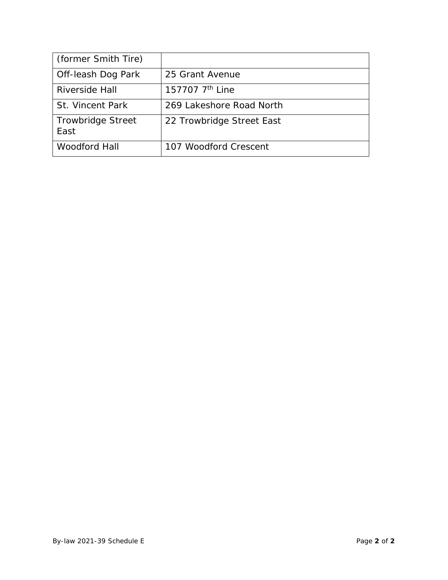| (former Smith Tire)              |                             |
|----------------------------------|-----------------------------|
| Off-leash Dog Park               | 25 Grant Avenue             |
| Riverside Hall                   | 157707 7 <sup>th</sup> Line |
| <b>St. Vincent Park</b>          | 269 Lakeshore Road North    |
| <b>Trowbridge Street</b><br>East | 22 Trowbridge Street East   |
| <b>Woodford Hall</b>             | 107 Woodford Crescent       |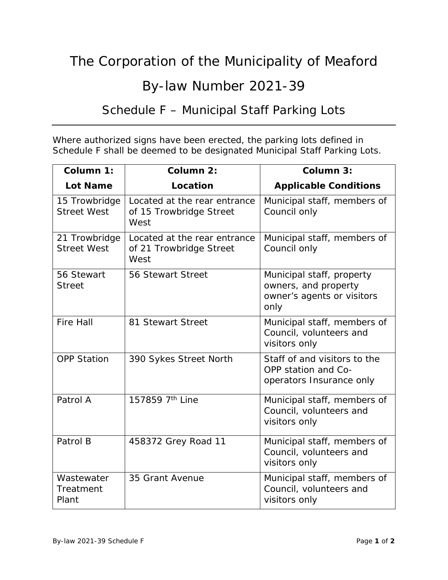### By-law Number 2021-39

### Schedule F – Municipal Staff Parking Lots

Where authorized signs have been erected, the parking lots defined in Schedule F shall be deemed to be designated Municipal Staff Parking Lots.

| Column 1:                           | Column 2:                                                       | Column 3:                                                                               |
|-------------------------------------|-----------------------------------------------------------------|-----------------------------------------------------------------------------------------|
| <b>Lot Name</b>                     | Location                                                        | <b>Applicable Conditions</b>                                                            |
| 15 Trowbridge<br><b>Street West</b> | Located at the rear entrance<br>of 15 Trowbridge Street<br>West | Municipal staff, members of<br>Council only                                             |
| 21 Trowbridge<br><b>Street West</b> | Located at the rear entrance<br>of 21 Trowbridge Street<br>West | Municipal staff, members of<br>Council only                                             |
| 56 Stewart<br><b>Street</b>         | 56 Stewart Street                                               | Municipal staff, property<br>owners, and property<br>owner's agents or visitors<br>only |
| <b>Fire Hall</b>                    | 81 Stewart Street                                               | Municipal staff, members of<br>Council, volunteers and<br>visitors only                 |
| <b>OPP Station</b>                  | 390 Sykes Street North                                          | Staff of and visitors to the<br>OPP station and Co-<br>operators Insurance only         |
| Patrol A                            | 157859 7th Line                                                 | Municipal staff, members of<br>Council, volunteers and<br>visitors only                 |
| Patrol B                            | 458372 Grey Road 11                                             | Municipal staff, members of<br>Council, volunteers and<br>visitors only                 |
| Wastewater<br>Treatment<br>Plant    | 35 Grant Avenue                                                 | Municipal staff, members of<br>Council, volunteers and<br>visitors only                 |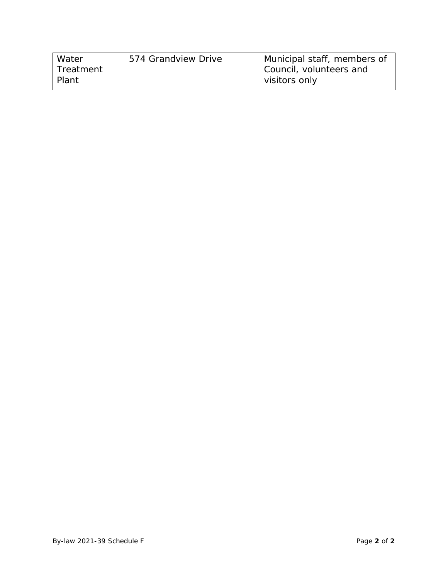| Water       | 574 Grandview Drive | Municipal staff, members of |
|-------------|---------------------|-----------------------------|
| l Treatment |                     | Council, volunteers and     |
| Plant       |                     | visitors only               |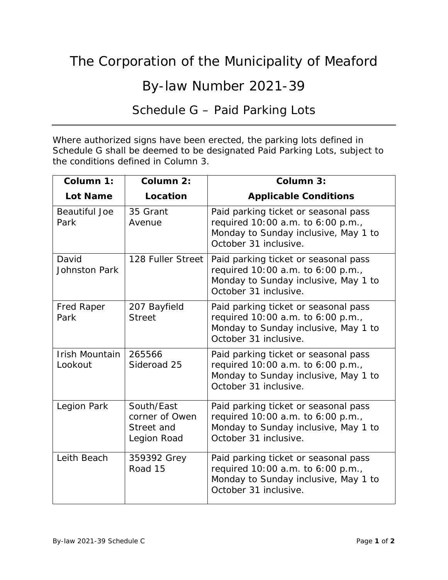## By-law Number 2021-39

## Schedule G – Paid Parking Lots

Where authorized signs have been erected, the parking lots defined in Schedule G shall be deemed to be designated Paid Parking Lots, subject to the conditions defined in Column 3.

| Column 1:                        | Column 2:                                                 | Column 3:                                                                                                                                  |
|----------------------------------|-----------------------------------------------------------|--------------------------------------------------------------------------------------------------------------------------------------------|
| <b>Lot Name</b>                  | Location                                                  | <b>Applicable Conditions</b>                                                                                                               |
| <b>Beautiful Joe</b><br>Park     | 35 Grant<br>Avenue                                        | Paid parking ticket or seasonal pass<br>required 10:00 a.m. to 6:00 p.m.,<br>Monday to Sunday inclusive, May 1 to<br>October 31 inclusive. |
| David<br>Johnston Park           | 128 Fuller Street                                         | Paid parking ticket or seasonal pass<br>required 10:00 a.m. to 6:00 p.m.,<br>Monday to Sunday inclusive, May 1 to<br>October 31 inclusive. |
| Fred Raper<br>Park               | 207 Bayfield<br><b>Street</b>                             | Paid parking ticket or seasonal pass<br>required 10:00 a.m. to 6:00 p.m.,<br>Monday to Sunday inclusive, May 1 to<br>October 31 inclusive. |
| <b>Irish Mountain</b><br>Lookout | 265566<br>Sideroad 25                                     | Paid parking ticket or seasonal pass<br>required 10:00 a.m. to 6:00 p.m.,<br>Monday to Sunday inclusive, May 1 to<br>October 31 inclusive. |
| Legion Park                      | South/East<br>corner of Owen<br>Street and<br>Legion Road | Paid parking ticket or seasonal pass<br>required 10:00 a.m. to 6:00 p.m.,<br>Monday to Sunday inclusive, May 1 to<br>October 31 inclusive. |
| Leith Beach                      | 359392 Grey<br>Road 15                                    | Paid parking ticket or seasonal pass<br>required 10:00 a.m. to 6:00 p.m.,<br>Monday to Sunday inclusive, May 1 to<br>October 31 inclusive. |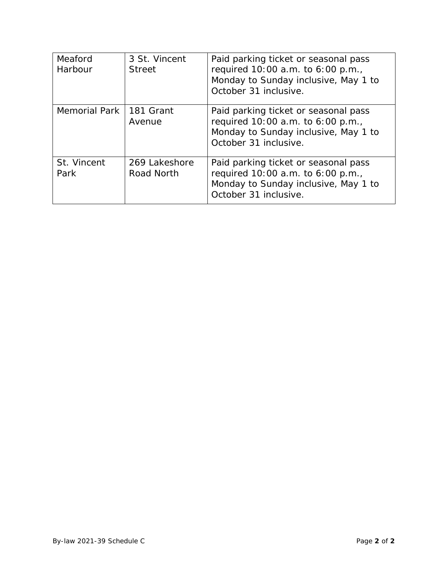| Meaford<br>Harbour  | 3 St. Vincent<br><b>Street</b> | Paid parking ticket or seasonal pass<br>required 10:00 a.m. to 6:00 p.m.,<br>Monday to Sunday inclusive, May 1 to<br>October 31 inclusive. |
|---------------------|--------------------------------|--------------------------------------------------------------------------------------------------------------------------------------------|
| Memorial Park       | 181 Grant<br>Avenue            | Paid parking ticket or seasonal pass<br>required 10:00 a.m. to 6:00 p.m.,<br>Monday to Sunday inclusive, May 1 to<br>October 31 inclusive. |
| St. Vincent<br>Park | 269 Lakeshore<br>Road North    | Paid parking ticket or seasonal pass<br>required 10:00 a.m. to 6:00 p.m.,<br>Monday to Sunday inclusive, May 1 to<br>October 31 inclusive. |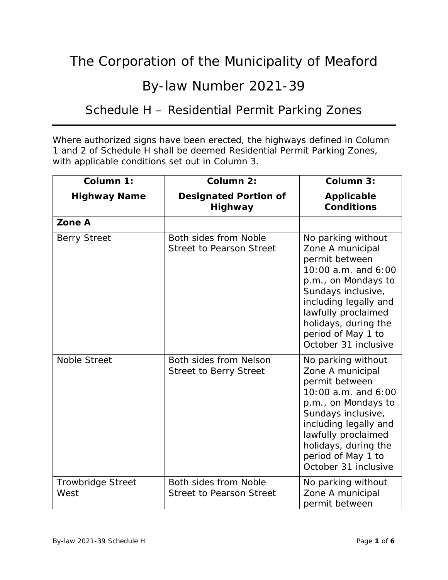### By-law Number 2021-39

### Schedule H – Residential Permit Parking Zones

Where authorized signs have been erected, the highways defined in Column 1 and 2 of Schedule H shall be deemed Residential Permit Parking Zones, with applicable conditions set out in Column 3.

| Column 1:                        | Column 2:                                                | Column 3:                                                                                                                                                                                                                                          |
|----------------------------------|----------------------------------------------------------|----------------------------------------------------------------------------------------------------------------------------------------------------------------------------------------------------------------------------------------------------|
| <b>Highway Name</b>              | <b>Designated Portion of</b><br><b>Highway</b>           | <b>Applicable</b><br><b>Conditions</b>                                                                                                                                                                                                             |
| Zone A                           |                                                          |                                                                                                                                                                                                                                                    |
| <b>Berry Street</b>              | Both sides from Noble<br><b>Street to Pearson Street</b> | No parking without<br>Zone A municipal<br>permit between<br>10:00 a.m. and 6:00<br>p.m., on Mondays to<br>Sundays inclusive,<br>including legally and<br>lawfully proclaimed<br>holidays, during the<br>period of May 1 to<br>October 31 inclusive |
| <b>Noble Street</b>              | Both sides from Nelson<br><b>Street to Berry Street</b>  | No parking without<br>Zone A municipal<br>permit between<br>10:00 a.m. and 6:00<br>p.m., on Mondays to<br>Sundays inclusive,<br>including legally and<br>lawfully proclaimed<br>holidays, during the<br>period of May 1 to<br>October 31 inclusive |
| <b>Trowbridge Street</b><br>West | Both sides from Noble<br><b>Street to Pearson Street</b> | No parking without<br>Zone A municipal<br>permit between                                                                                                                                                                                           |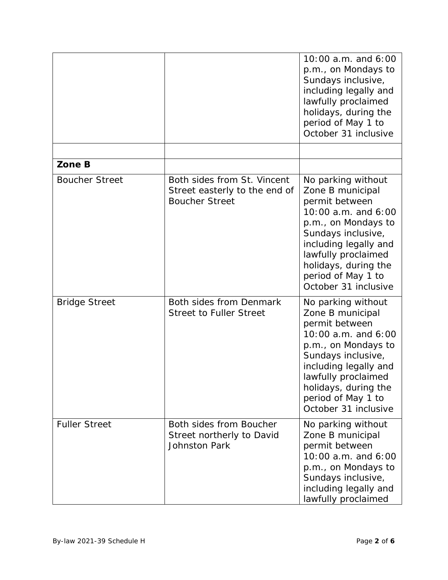|                       |                                                                                       | 10:00 a.m. and 6:00<br>p.m., on Mondays to<br>Sundays inclusive,<br>including legally and<br>lawfully proclaimed<br>holidays, during the<br>period of May 1 to<br>October 31 inclusive                                                             |
|-----------------------|---------------------------------------------------------------------------------------|----------------------------------------------------------------------------------------------------------------------------------------------------------------------------------------------------------------------------------------------------|
|                       |                                                                                       |                                                                                                                                                                                                                                                    |
| Zone B                |                                                                                       |                                                                                                                                                                                                                                                    |
| <b>Boucher Street</b> | Both sides from St. Vincent<br>Street easterly to the end of<br><b>Boucher Street</b> | No parking without<br>Zone B municipal<br>permit between<br>10:00 a.m. and 6:00<br>p.m., on Mondays to<br>Sundays inclusive,<br>including legally and<br>lawfully proclaimed<br>holidays, during the<br>period of May 1 to<br>October 31 inclusive |
| <b>Bridge Street</b>  | Both sides from Denmark<br><b>Street to Fuller Street</b>                             | No parking without<br>Zone B municipal<br>permit between<br>10:00 a.m. and 6:00<br>p.m., on Mondays to<br>Sundays inclusive,<br>including legally and<br>lawfully proclaimed<br>holidays, during the<br>period of May 1 to<br>October 31 inclusive |
| <b>Fuller Street</b>  | Both sides from Boucher<br>Street northerly to David<br><b>Johnston Park</b>          | No parking without<br>Zone B municipal<br>permit between<br>10:00 a.m. and 6:00<br>p.m., on Mondays to<br>Sundays inclusive,<br>including legally and<br>lawfully proclaimed                                                                       |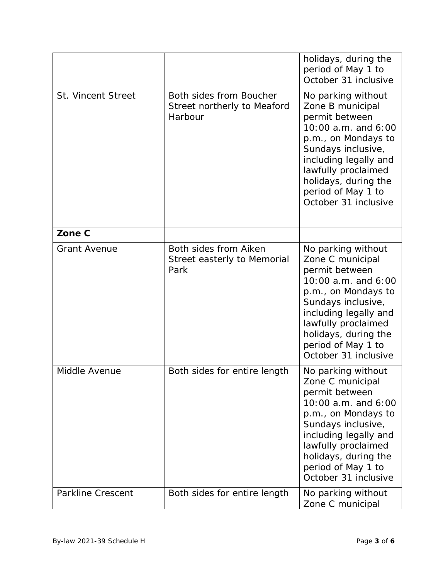|                           |                                                                   | holidays, during the<br>period of May 1 to<br>October 31 inclusive                                                                                                                                                                                 |
|---------------------------|-------------------------------------------------------------------|----------------------------------------------------------------------------------------------------------------------------------------------------------------------------------------------------------------------------------------------------|
| <b>St. Vincent Street</b> | Both sides from Boucher<br>Street northerly to Meaford<br>Harbour | No parking without<br>Zone B municipal<br>permit between<br>10:00 a.m. and 6:00<br>p.m., on Mondays to<br>Sundays inclusive,<br>including legally and<br>lawfully proclaimed<br>holidays, during the<br>period of May 1 to<br>October 31 inclusive |
| Zone C                    |                                                                   |                                                                                                                                                                                                                                                    |
| <b>Grant Avenue</b>       | Both sides from Aiken<br>Street easterly to Memorial<br>Park      | No parking without<br>Zone C municipal<br>permit between<br>10:00 a.m. and 6:00<br>p.m., on Mondays to<br>Sundays inclusive,<br>including legally and<br>lawfully proclaimed<br>holidays, during the<br>period of May 1 to<br>October 31 inclusive |
| Middle Avenue             | Both sides for entire length                                      | No parking without<br>Zone C municipal<br>permit between<br>10:00 a.m. and 6:00<br>p.m., on Mondays to<br>Sundays inclusive,<br>including legally and<br>lawfully proclaimed<br>holidays, during the<br>period of May 1 to<br>October 31 inclusive |
| <b>Parkline Crescent</b>  | Both sides for entire length                                      | No parking without<br>Zone C municipal                                                                                                                                                                                                             |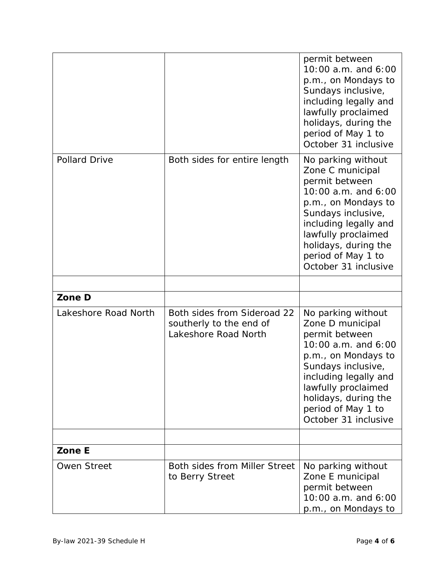|                      |                                                                                | permit between<br>10:00 a.m. and 6:00<br>p.m., on Mondays to<br>Sundays inclusive,<br>including legally and<br>lawfully proclaimed<br>holidays, during the<br>period of May 1 to<br>October 31 inclusive                                           |
|----------------------|--------------------------------------------------------------------------------|----------------------------------------------------------------------------------------------------------------------------------------------------------------------------------------------------------------------------------------------------|
| <b>Pollard Drive</b> | Both sides for entire length                                                   | No parking without<br>Zone C municipal<br>permit between<br>10:00 a.m. and 6:00<br>p.m., on Mondays to<br>Sundays inclusive,<br>including legally and<br>lawfully proclaimed<br>holidays, during the<br>period of May 1 to<br>October 31 inclusive |
|                      |                                                                                |                                                                                                                                                                                                                                                    |
| Zone D               |                                                                                |                                                                                                                                                                                                                                                    |
| Lakeshore Road North | Both sides from Sideroad 22<br>southerly to the end of<br>Lakeshore Road North | No parking without<br>Zone D municipal<br>permit between<br>10:00 a.m. and 6:00<br>p.m., on Mondays to<br>Sundays inclusive,<br>including legally and<br>lawfully proclaimed<br>holidays, during the<br>period of May 1 to<br>October 31 inclusive |
|                      |                                                                                |                                                                                                                                                                                                                                                    |
| Zone E               |                                                                                |                                                                                                                                                                                                                                                    |
| <b>Owen Street</b>   | Both sides from Miller Street<br>to Berry Street                               | No parking without<br>Zone E municipal<br>permit between<br>10:00 a.m. and 6:00<br>p.m., on Mondays to                                                                                                                                             |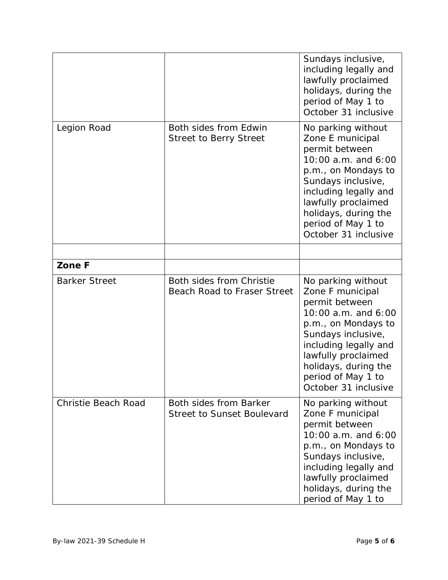|                            |                                                                | Sundays inclusive,<br>including legally and<br>lawfully proclaimed<br>holidays, during the<br>period of May 1 to<br>October 31 inclusive                                                                                                           |
|----------------------------|----------------------------------------------------------------|----------------------------------------------------------------------------------------------------------------------------------------------------------------------------------------------------------------------------------------------------|
| Legion Road                | Both sides from Edwin<br><b>Street to Berry Street</b>         | No parking without<br>Zone E municipal<br>permit between<br>10:00 a.m. and 6:00<br>p.m., on Mondays to<br>Sundays inclusive,<br>including legally and<br>lawfully proclaimed<br>holidays, during the<br>period of May 1 to<br>October 31 inclusive |
|                            |                                                                |                                                                                                                                                                                                                                                    |
| Zone F                     |                                                                |                                                                                                                                                                                                                                                    |
| <b>Barker Street</b>       | Both sides from Christie<br><b>Beach Road to Fraser Street</b> | No parking without<br>Zone F municipal<br>permit between<br>10:00 a.m. and 6:00<br>p.m., on Mondays to<br>Sundays inclusive,<br>including legally and<br>lawfully proclaimed<br>holidays, during the<br>period of May 1 to<br>October 31 inclusive |
| <b>Christie Beach Road</b> | Both sides from Barker<br><b>Street to Sunset Boulevard</b>    | No parking without<br>Zone F municipal<br>permit between<br>10:00 a.m. and 6:00<br>p.m., on Mondays to<br>Sundays inclusive,<br>including legally and<br>lawfully proclaimed<br>holidays, during the<br>period of May 1 to                         |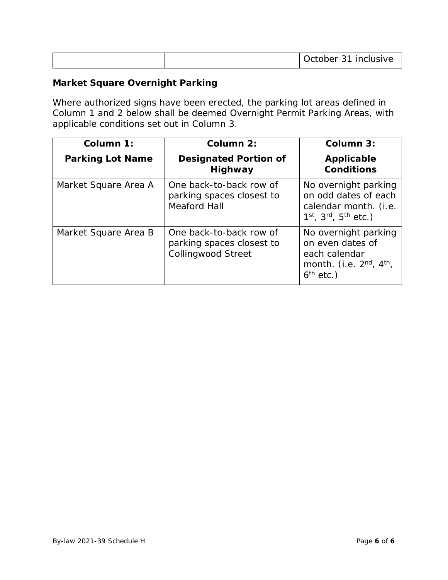|  | <u>October - </u><br>. ?1<br>inclusive<br>$-$ |
|--|-----------------------------------------------|
|--|-----------------------------------------------|

#### **Market Square Overnight Parking**

Where authorized signs have been erected, the parking lot areas defined in Column 1 and 2 below shall be deemed Overnight Permit Parking Areas, with applicable conditions set out in Column 3.

| Column 1:               | Column 2:                                                                         | Column 3:                                                                                                     |
|-------------------------|-----------------------------------------------------------------------------------|---------------------------------------------------------------------------------------------------------------|
| <b>Parking Lot Name</b> | <b>Designated Portion of</b><br><b>Highway</b>                                    | Applicable<br><b>Conditions</b>                                                                               |
| Market Square Area A    | One back-to-back row of<br>parking spaces closest to<br><b>Meaford Hall</b>       | No overnight parking<br>on odd dates of each<br>calendar month. (i.e.<br>$1^{st}$ , $3^{rd}$ , $5^{th}$ etc.) |
| Market Square Area B    | One back-to-back row of<br>parking spaces closest to<br><b>Collingwood Street</b> | No overnight parking<br>on even dates of<br>each calendar<br>month. (i.e. $2nd$ , $4th$ ,<br>$6th$ etc.)      |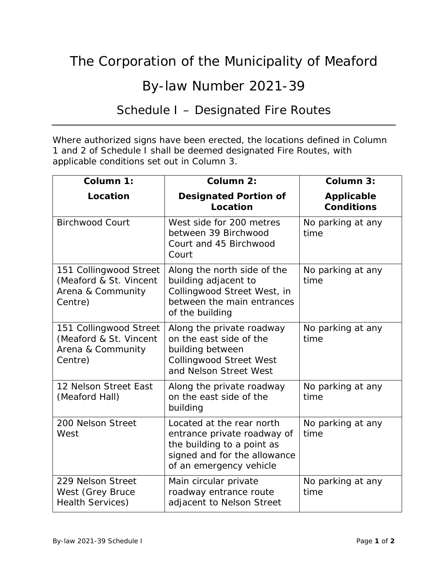# By-law Number 2021-39

### Schedule I – Designated Fire Routes

Where authorized signs have been erected, the locations defined in Column 1 and 2 of Schedule I shall be deemed designated Fire Routes, with applicable conditions set out in Column 3.

| Column 1:                                                                        | Column 2:                                                                                                                                         | Column 3:                              |
|----------------------------------------------------------------------------------|---------------------------------------------------------------------------------------------------------------------------------------------------|----------------------------------------|
| Location                                                                         | <b>Designated Portion of</b><br>Location                                                                                                          | <b>Applicable</b><br><b>Conditions</b> |
| <b>Birchwood Court</b>                                                           | West side for 200 metres<br>between 39 Birchwood<br>Court and 45 Birchwood<br>Court                                                               | No parking at any<br>time              |
| 151 Collingwood Street<br>(Meaford & St. Vincent<br>Arena & Community<br>Centre) | Along the north side of the<br>building adjacent to<br>Collingwood Street West, in<br>between the main entrances<br>of the building               | No parking at any<br>time              |
| 151 Collingwood Street<br>(Meaford & St. Vincent<br>Arena & Community<br>Centre) | Along the private roadway<br>on the east side of the<br>building between<br><b>Collingwood Street West</b><br>and Nelson Street West              | No parking at any<br>time              |
| 12 Nelson Street East<br>(Meaford Hall)                                          | Along the private roadway<br>on the east side of the<br>building                                                                                  | No parking at any<br>time              |
| 200 Nelson Street<br>West                                                        | Located at the rear north<br>entrance private roadway of<br>the building to a point as<br>signed and for the allowance<br>of an emergency vehicle | No parking at any<br>time              |
| 229 Nelson Street<br>West (Grey Bruce<br><b>Health Services)</b>                 | Main circular private<br>roadway entrance route<br>adjacent to Nelson Street                                                                      | No parking at any<br>time              |